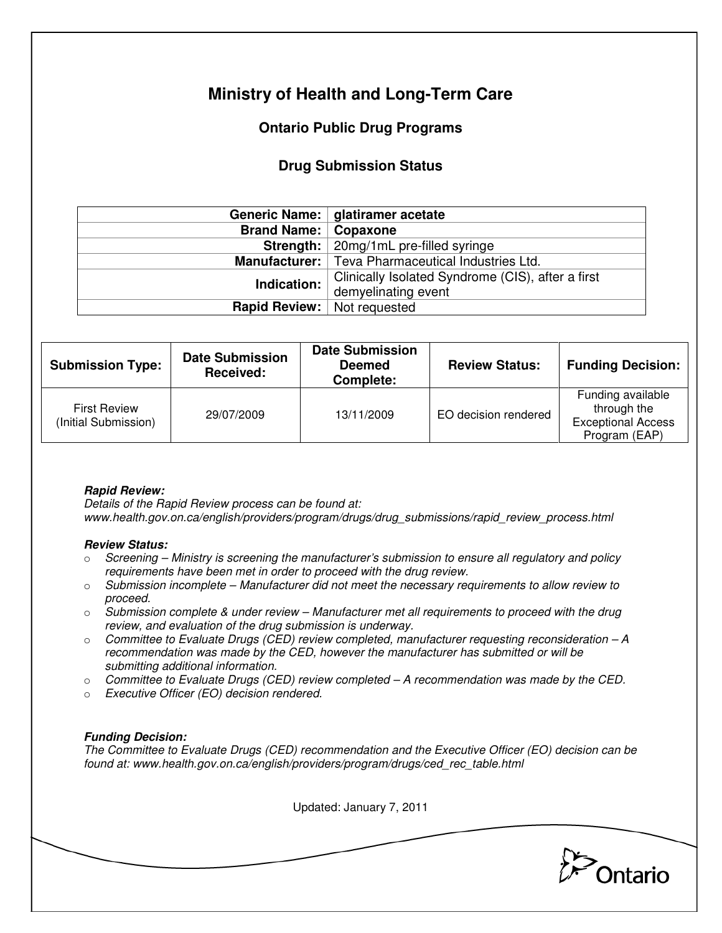# **Ministry of Health and Long-Term Care**

## **Ontario Public Drug Programs**

## **Drug Submission Status**

|                               | Generic Name:   glatiramer acetate                         |  |  |
|-------------------------------|------------------------------------------------------------|--|--|
| <b>Brand Name:   Copaxone</b> |                                                            |  |  |
|                               | Strength:   20mg/1mL pre-filled syringe                    |  |  |
|                               | <b>Manufacturer:</b>   Teva Pharmaceutical Industries Ltd. |  |  |
| Indication:                   | Clinically Isolated Syndrome (CIS), after a first          |  |  |
|                               | demyelinating event                                        |  |  |
|                               | <b>Rapid Review:</b> Not requested                         |  |  |

| <b>Submission Type:</b>                     | <b>Date Submission</b><br>Received: | <b>Date Submission</b><br><b>Deemed</b><br>Complete: | <b>Review Status:</b> | <b>Funding Decision:</b>                                                       |
|---------------------------------------------|-------------------------------------|------------------------------------------------------|-----------------------|--------------------------------------------------------------------------------|
| <b>First Review</b><br>(Initial Submission) | 29/07/2009                          | 13/11/2009                                           | EO decision rendered  | Funding available<br>through the<br><b>Exceptional Access</b><br>Program (EAP) |

### **Rapid Review:**

Details of the Rapid Review process can be found at: www.health.gov.on.ca/english/providers/program/drugs/drug\_submissions/rapid\_review\_process.html

#### **Review Status:**

- $\circ$  Screening Ministry is screening the manufacturer's submission to ensure all regulatory and policy requirements have been met in order to proceed with the drug review.
- $\circ$  Submission incomplete Manufacturer did not meet the necessary requirements to allow review to proceed.
- $\circ$  Submission complete & under review Manufacturer met all requirements to proceed with the drug review, and evaluation of the drug submission is underway.
- $\circ$  Committee to Evaluate Drugs (CED) review completed, manufacturer requesting reconsideration  $-A$ recommendation was made by the CED, however the manufacturer has submitted or will be submitting additional information.
- $\circ$  Committee to Evaluate Drugs (CED) review completed A recommendation was made by the CED.
- o Executive Officer (EO) decision rendered.

### **Funding Decision:**

The Committee to Evaluate Drugs (CED) recommendation and the Executive Officer (EO) decision can be found at: www.health.gov.on.ca/english/providers/program/drugs/ced\_rec\_table.html

Updated: January 7, 2011